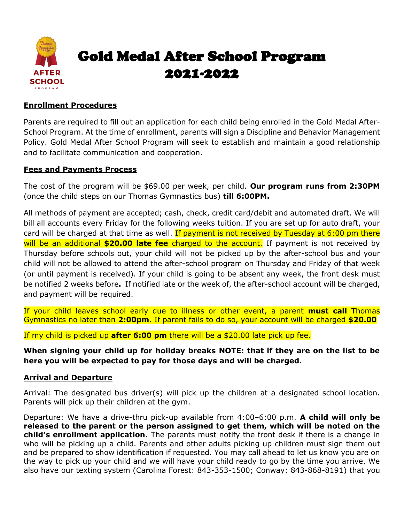

## **Enrollment Procedures**

Parents are required to fill out an application for each child being enrolled in the Gold Medal After-School Program. At the time of enrollment, parents will sign a Discipline and Behavior Management Policy. Gold Medal After School Program will seek to establish and maintain a good relationship and to facilitate communication and cooperation.

## **Fees and Payments Process**

The cost of the program will be \$69.00 per week, per child. **Our program runs from 2:30PM**  (once the child steps on our Thomas Gymnastics bus) **till 6:00PM.**

All methods of payment are accepted; cash, check, credit card/debit and automated draft. We will bill all accounts every Friday for the following weeks tuition. If you are set up for auto draft, your card will be charged at that time as well. If payment is not received by Tuesday at 6:00 pm there will be an additional **\$20.00 late fee** charged to the account. If payment is not received by Thursday before schools out, your child will not be picked up by the after-school bus and your child will not be allowed to attend the after-school program on Thursday and Friday of that week (or until payment is received). If your child is going to be absent any week, the front desk must be notified 2 weeks before**.** If notified late or the week of, the after-school account will be charged, and payment will be required.

If your child leaves school early due to illness or other event, a parent **must call** Thomas Gymnastics no later than **2:00pm**. If parent fails to do so, your account will be charged **\$20.00**

If my child is picked up **after 6:00 pm** there will be a \$20.00 late pick up fee.

**When signing your child up for holiday breaks NOTE: that if they are on the list to be here you will be expected to pay for those days and will be charged.**

## **Arrival and Departure**

Arrival: The designated bus driver(s) will pick up the children at a designated school location. Parents will pick up their children at the gym.

Departure: We have a drive-thru pick-up available from 4:00–6:00 p.m. **A child will only be released to the parent or the person assigned to get them, which will be noted on the child's enrollment application**. The parents must notify the front desk if there is a change in who will be picking up a child. Parents and other adults picking up children must sign them out and be prepared to show identification if requested. You may call ahead to let us know you are on the way to pick up your child and we will have your child ready to go by the time you arrive. We also have our texting system (Carolina Forest: 843-353-1500; Conway: 843-868-8191) that you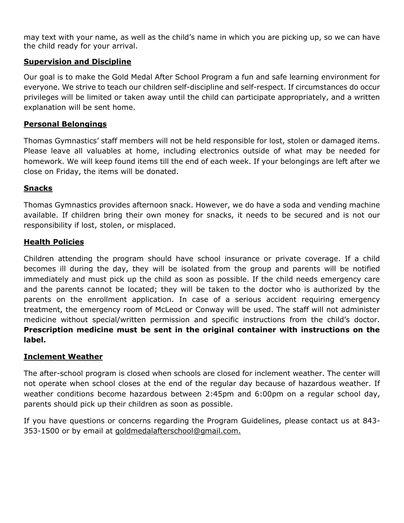may text with your name, as well as the child's name in which you are picking up, so we can have the child ready for your arrival.

## **Supervision and Discipline**

Our goal is to make the Gold Medal After School Program a fun and safe learning environment for everyone. We strive to teach our children self-discipline and self-respect. If circumstances do occur privileges will be limited or taken away until the child can participate appropriately, and a written explanation will be sent home.

## **Personal Belongings**

Thomas Gymnastics' staff members will not be held responsible for lost, stolen or damaged items. Please leave all valuables at home, including electronics outside of what may be needed for homework. We will keep found items till the end of each week. If your belongings are left after we close on Friday, the items will be donated.

#### **Snacks**

Thomas Gymnastics provides afternoon snack. However, we do have a soda and vending machine available. If children bring their own money for snacks, it needs to be secured and is not our responsibility if lost, stolen, or misplaced.

## **Health Policies**

Children attending the program should have school insurance or private coverage. If a child becomes ill during the day, they will be isolated from the group and parents will be notified immediately and must pick up the child as soon as possible. If the child needs emergency care and the parents cannot be located; they will be taken to the doctor who is authorized by the parents on the enrollment application. In case of a serious accident requiring emergency treatment, the emergency room of McLeod or Conway will be used. The staff will not administer medicine without special/written permission and specific instructions from the child's doctor. **Prescription medicine must be sent in the original container with instructions on the label.** 

## **Inclement Weather**

The after-school program is closed when schools are closed for inclement weather. The center will not operate when school closes at the end of the regular day because of hazardous weather. If weather conditions become hazardous between 2:45pm and 6:00pm on a regular school day, parents should pick up their children as soon as possible.

If you have questions or concerns regarding the Program Guidelines, please contact us at 843- 353-1500 or by email at [goldmedalafterschool@gmail.com.](mailto:goldmedalafterschool@gmail.com)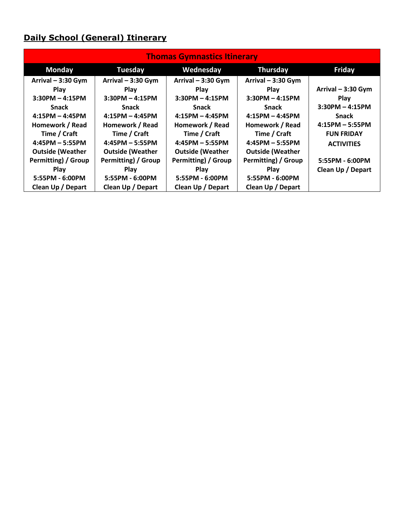# **Daily School (General) Itinerary**

| <b>Thomas Gymnastics Itinerary</b> |                         |                         |                         |                     |  |  |
|------------------------------------|-------------------------|-------------------------|-------------------------|---------------------|--|--|
| <b>Monday</b>                      | <b>Tuesday</b>          | Wednesday               | Thursday                | <b>Friday</b>       |  |  |
| Arrival $-3:30$ Gym                | Arrival $-3:30$ Gym     | Arrival $-3:30$ Gym     | Arrival $-3:30$ Gym     |                     |  |  |
| Play                               | Play                    | <b>Play</b>             | <b>Play</b>             | Arrival $-3:30$ Gym |  |  |
| $3:30PM - 4:15PM$                  | $3:30PM - 4:15PM$       | $3:30PM - 4:15PM$       | $3:30PM - 4:15PM$       | Play                |  |  |
| <b>Snack</b>                       | <b>Snack</b>            | <b>Snack</b>            | <b>Snack</b>            | $3:30PM - 4:15PM$   |  |  |
| $4:15PM - 4:45PM$                  | $4:15PM - 4:45PM$       | $4:15PM - 4:45PM$       | $4:15PM - 4:45PM$       | <b>Snack</b>        |  |  |
| Homework / Read                    | Homework / Read         | Homework / Read         | Homework / Read         | $4:15PM - 5:55PM$   |  |  |
| Time / Craft                       | Time / Craft            | Time / Craft            | Time / Craft            | <b>FUN FRIDAY</b>   |  |  |
| $4:45PM - 5:55PM$                  | $4:45PM - 5:55PM$       | $4:45PM - 5:55PM$       | $4:45PM - 5:55PM$       | <b>ACTIVITIES</b>   |  |  |
| <b>Outside (Weather</b>            | <b>Outside (Weather</b> | <b>Outside (Weather</b> | <b>Outside (Weather</b> |                     |  |  |
| Permitting) / Group                | Permitting) / Group     | Permitting) / Group     | Permitting) / Group     | 5:55PM - 6:00PM     |  |  |
| Play                               | Play                    | <b>Play</b>             | <b>Play</b>             | Clean Up / Depart   |  |  |
| 5:55PM - 6:00PM                    | 5:55PM - 6:00PM         | 5:55PM - 6:00PM         | 5:55PM - 6:00PM         |                     |  |  |
| Clean Up / Depart                  | Clean Up / Depart       | Clean Up / Depart       | Clean Up / Depart       |                     |  |  |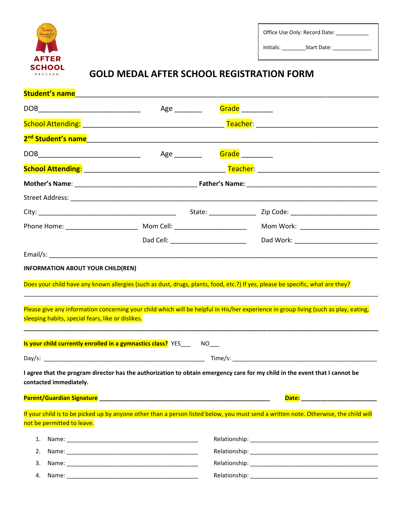

Office Use Only: Record Date: \_\_\_\_\_\_\_\_\_

Initials: \_\_\_\_\_\_\_\_Start Date: \_\_\_\_\_\_\_\_\_\_\_\_\_

# **GOLD MEDAL AFTER SCHOOL REGISTRATION FORM**

|                                                   | Student's name                                                                                                   |                 |                                                                                                                                      |  |  |
|---------------------------------------------------|------------------------------------------------------------------------------------------------------------------|-----------------|--------------------------------------------------------------------------------------------------------------------------------------|--|--|
|                                                   | Age _________                                                                                                    | Grade _________ |                                                                                                                                      |  |  |
|                                                   |                                                                                                                  |                 |                                                                                                                                      |  |  |
|                                                   |                                                                                                                  |                 |                                                                                                                                      |  |  |
|                                                   | Age _________                                                                                                    | Grade           |                                                                                                                                      |  |  |
|                                                   |                                                                                                                  |                 |                                                                                                                                      |  |  |
|                                                   |                                                                                                                  |                 |                                                                                                                                      |  |  |
|                                                   |                                                                                                                  |                 |                                                                                                                                      |  |  |
|                                                   |                                                                                                                  |                 |                                                                                                                                      |  |  |
|                                                   |                                                                                                                  |                 | Mom Work: __________________________                                                                                                 |  |  |
|                                                   |                                                                                                                  |                 |                                                                                                                                      |  |  |
|                                                   |                                                                                                                  |                 |                                                                                                                                      |  |  |
| sleeping habits, special fears, like or dislikes. | Is your child currently enrolled in a gymnastics class? YES _____ NO___                                          |                 | Please give any information concerning your child which will be helpful in His/her experience in group living (such as play, eating, |  |  |
|                                                   |                                                                                                                  |                 |                                                                                                                                      |  |  |
| contacted immediately.                            |                                                                                                                  |                 | I agree that the program director has the authorization to obtain emergency care for my child in the event that I cannot be          |  |  |
|                                                   | Parent/Guardian Signature 2008 2009 2010 2020 2031 2040 2051 2062 207 208 209 209 209 209 209 209 209 209 209 20 |                 | <b>Date: Date: Date: Date:</b>                                                                                                       |  |  |
|                                                   |                                                                                                                  |                 | If your child is to be picked up by anyone other than a person listed below, you must send a written note. Otherwise, the child will |  |  |
| not be permitted to leave.                        |                                                                                                                  |                 |                                                                                                                                      |  |  |
| 1.                                                |                                                                                                                  |                 |                                                                                                                                      |  |  |
| 2.                                                |                                                                                                                  |                 |                                                                                                                                      |  |  |
| 3.                                                |                                                                                                                  |                 |                                                                                                                                      |  |  |
| 4.                                                |                                                                                                                  |                 |                                                                                                                                      |  |  |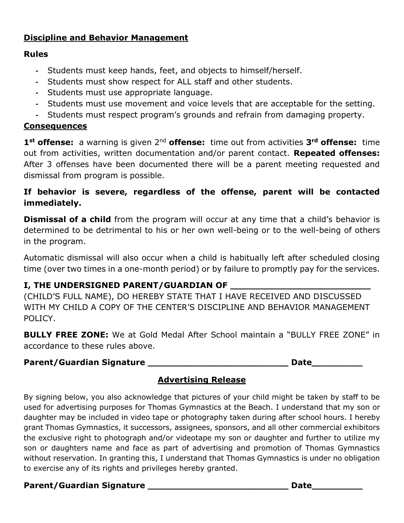## **Discipline and Behavior Management**

## **Rules**

- *-* Students must keep hands, feet, and objects to himself/herself.
- *-* Students must show respect for ALL staff and other students.
- *-* Students must use appropriate language.
- *-* Students must use movement and voice levels that are acceptable for the setting.
- *-* Students must respect program's grounds and refrain from damaging property.

## **Consequences**

**1st offense:** a warning is given 2nd **offense:** time out from activities **3rd offense:** time out from activities, written documentation and/or parent contact. **Repeated offenses:**  After 3 offenses have been documented there will be a parent meeting requested and dismissal from program is possible.

## **If behavior is severe, regardless of the offense, parent will be contacted immediately.**

**Dismissal of a child** from the program will occur at any time that a child's behavior is determined to be detrimental to his or her own well-being or to the well-being of others in the program.

Automatic dismissal will also occur when a child is habitually left after scheduled closing time (over two times in a one-month period) or by failure to promptly pay for the services.

# **I, THE UNDERSIGNED PARENT/GUARDIAN OF \_\_\_\_\_\_\_\_\_\_\_\_\_\_\_\_\_\_\_\_\_\_\_\_\_**

(CHILD'S FULL NAME), DO HEREBY STATE THAT I HAVE RECEIVED AND DISCUSSED WITH MY CHILD A COPY OF THE CENTER'S DISCIPLINE AND BEHAVIOR MANAGEMENT POLICY.

**BULLY FREE ZONE:** We at Gold Medal After School maintain a "BULLY FREE ZONE" in accordance to these rules above.

## **Parent/Guardian Signature \_\_\_\_\_\_\_\_\_\_\_\_\_\_\_\_\_\_\_\_\_\_\_\_\_ Date\_\_\_\_\_\_\_\_\_**

# **Advertising Release**

By signing below, you also acknowledge that pictures of your child might be taken by staff to be used for advertising purposes for Thomas Gymnastics at the Beach. I understand that my son or daughter may be included in video tape or photography taken during after school hours. I hereby grant Thomas Gymnastics, it successors, assignees, sponsors, and all other commercial exhibitors the exclusive right to photograph and/or videotape my son or daughter and further to utilize my son or daughters name and face as part of advertising and promotion of Thomas Gymnastics without reservation. In granting this, I understand that Thomas Gymnastics is under no obligation to exercise any of its rights and privileges hereby granted.

## Parent/Guardian Signature \_\_\_\_\_\_\_\_\_\_\_\_\_\_\_\_\_\_\_\_\_\_\_\_\_\_\_\_\_\_\_\_\_Date\_